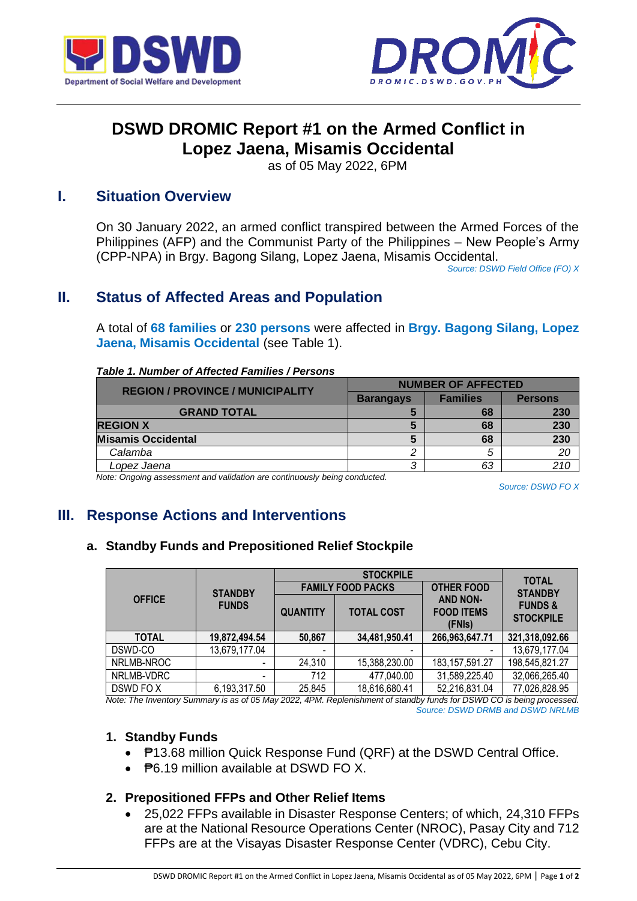



# **DSWD DROMIC Report #1 on the Armed Conflict in Lopez Jaena, Misamis Occidental**

as of 05 May 2022, 6PM

### **I. Situation Overview**

On 30 January 2022, an armed conflict transpired between the Armed Forces of the Philippines (AFP) and the Communist Party of the Philippines – New People's Army (CPP-NPA) in Brgy. Bagong Silang, Lopez Jaena, Misamis Occidental.

*Source: DSWD Field Office (FO) X*

## **II. Status of Affected Areas and Population**

A total of **68 families** or **230 persons** were affected in **Brgy. Bagong Silang, Lopez Jaena, Misamis Occidental** (see Table 1).

| <b>REGION / PROVINCE / MUNICIPALITY</b> | <b>NUMBER OF AFFECTED</b> |                 |                |
|-----------------------------------------|---------------------------|-----------------|----------------|
|                                         | <b>Barangays</b>          | <b>Families</b> | <b>Persons</b> |
| <b>GRAND TOTAL</b>                      |                           | 68              | 230            |
| <b>REGION X</b>                         |                           | 68              | 230            |
| <b>Misamis Occidental</b>               |                           | 68              | 230            |
| Calamba                                 |                           |                 | 20             |
| Lopez Jaena                             |                           | 63              |                |

#### *Table 1. Number of Affected Families / Persons*

*Note: Ongoing assessment and validation are continuously being conducted.*

*Source: DSWD FO X*

# **III. Response Actions and Interventions**

### **a. Standby Funds and Prepositioned Relief Stockpile**

| <b>OFFICE</b> | <b>STANDBY</b><br><b>FUNDS</b> | <b>STOCKPILE</b>         |                          |                                                | <b>TOTAL</b>                           |
|---------------|--------------------------------|--------------------------|--------------------------|------------------------------------------------|----------------------------------------|
|               |                                | <b>FAMILY FOOD PACKS</b> |                          | <b>OTHER FOOD</b>                              | <b>STANDBY</b>                         |
|               |                                | <b>QUANTITY</b>          | <b>TOTAL COST</b>        | <b>AND NON-</b><br><b>FOOD ITEMS</b><br>(FNIs) | <b>FUNDS &amp;</b><br><b>STOCKPILE</b> |
| <b>TOTAL</b>  | 19,872,494.54                  | 50,867                   | 34,481,950.41            | 266,963,647.71                                 | 321,318,092.66                         |
| DSWD-CO       | 13,679,177.04                  | $\overline{\phantom{a}}$ | $\overline{\phantom{a}}$ |                                                | 13,679,177.04                          |
| NRLMB-NROC    |                                | 24,310                   | 15,388,230.00            | 183, 157, 591. 27                              | 198,545,821.27                         |
| NRLMB-VDRC    | $\overline{\phantom{a}}$       | 712                      | 477,040.00               | 31,589,225.40                                  | 32,066,265.40                          |
| DSWD FO X     | 6,193,317.50                   | 25,845                   | 18,616,680.41            | 52,216,831.04                                  | 77,026,828.95                          |

*Note: The Inventory Summary is as of 05 May 2022, 4PM. Replenishment of standby funds for DSWD CO is being processed. Source: DSWD DRMB and DSWD NRLMB*

### **1. Standby Funds**

- P13.68 million Quick Response Fund (QRF) at the DSWD Central Office.
- $\bullet$   $\overline{P}6.19$  million available at DSWD FO X.

### **2. Prepositioned FFPs and Other Relief Items**

 25,022 FFPs available in Disaster Response Centers; of which, 24,310 FFPs are at the National Resource Operations Center (NROC), Pasay City and 712 FFPs are at the Visayas Disaster Response Center (VDRC), Cebu City.